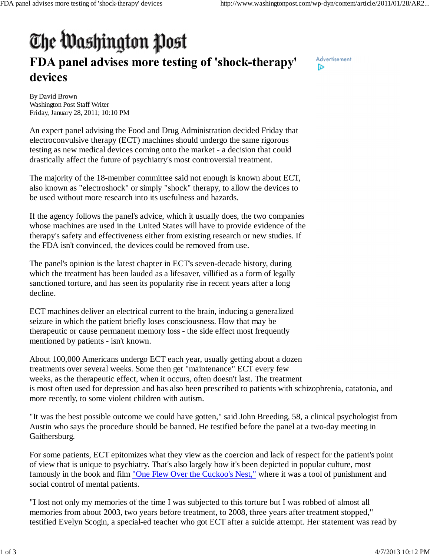# The Washington Post **FDA panel advises more testing of 'shock-therapy' devices**



By David Brown Washington Post Staff Writer Friday, January 28, 2011; 10:10 PM

An expert panel advising the Food and Drug Administration decided Friday that electroconvulsive therapy (ECT) machines should undergo the same rigorous testing as new medical devices coming onto the market - a decision that could drastically affect the future of psychiatry's most controversial treatment.

The majority of the 18-member committee said not enough is known about ECT, also known as "electroshock" or simply "shock" therapy, to allow the devices to be used without more research into its usefulness and hazards.

If the agency follows the panel's advice, which it usually does, the two companies whose machines are used in the United States will have to provide evidence of the therapy's safety and effectiveness either from existing research or new studies. If the FDA isn't convinced, the devices could be removed from use.

The panel's opinion is the latest chapter in ECT's seven-decade history, during which the treatment has been lauded as a lifesaver, villified as a form of legally sanctioned torture, and has seen its popularity rise in recent years after a long decline.

ECT machines deliver an electrical current to the brain, inducing a generalized seizure in which the patient briefly loses consciousness. How that may be therapeutic or cause permanent memory loss - the side effect most frequently mentioned by patients - isn't known.

About 100,000 Americans undergo ECT each year, usually getting about a dozen treatments over several weeks. Some then get "maintenance" ECT every few weeks, as the therapeutic effect, when it occurs, often doesn't last. The treatment is most often used for depression and has also been prescribed to patients with schizophrenia, catatonia, and more recently, to some violent children with autism.

"It was the best possible outcome we could have gotten," said John Breeding, 58, a clinical psychologist from Austin who says the procedure should be banned. He testified before the panel at a two-day meeting in Gaithersburg.

For some patients, ECT epitomizes what they view as the coercion and lack of respect for the patient's point of view that is unique to psychiatry. That's also largely how it's been depicted in popular culture, most famously in the book and film "One Flew Over the Cuckoo's Nest," where it was a tool of punishment and social control of mental patients.

"I lost not only my memories of the time I was subjected to this torture but I was robbed of almost all memories from about 2003, two years before treatment, to 2008, three years after treatment stopped," testified Evelyn Scogin, a special-ed teacher who got ECT after a suicide attempt. Her statement was read by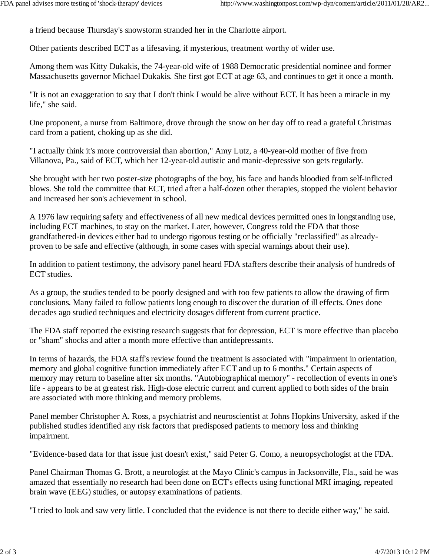a friend because Thursday's snowstorm stranded her in the Charlotte airport.

Other patients described ECT as a lifesaving, if mysterious, treatment worthy of wider use.

Among them was Kitty Dukakis, the 74-year-old wife of 1988 Democratic presidential nominee and former Massachusetts governor Michael Dukakis. She first got ECT at age 63, and continues to get it once a month.

"It is not an exaggeration to say that I don't think I would be alive without ECT. It has been a miracle in my life," she said.

One proponent, a nurse from Baltimore, drove through the snow on her day off to read a grateful Christmas card from a patient, choking up as she did.

"I actually think it's more controversial than abortion," Amy Lutz, a 40-year-old mother of five from Villanova, Pa., said of ECT, which her 12-year-old autistic and manic-depressive son gets regularly.

She brought with her two poster-size photographs of the boy, his face and hands bloodied from self-inflicted blows. She told the committee that ECT, tried after a half-dozen other therapies, stopped the violent behavior and increased her son's achievement in school.

A 1976 law requiring safety and effectiveness of all new medical devices permitted ones in longstanding use, including ECT machines, to stay on the market. Later, however, Congress told the FDA that those grandfathered-in devices either had to undergo rigorous testing or be officially "reclassified" as alreadyproven to be safe and effective (although, in some cases with special warnings about their use).

In addition to patient testimony, the advisory panel heard FDA staffers describe their analysis of hundreds of ECT studies.

As a group, the studies tended to be poorly designed and with too few patients to allow the drawing of firm conclusions. Many failed to follow patients long enough to discover the duration of ill effects. Ones done decades ago studied techniques and electricity dosages different from current practice.

The FDA staff reported the existing research suggests that for depression, ECT is more effective than placebo or "sham" shocks and after a month more effective than antidepressants.

In terms of hazards, the FDA staff's review found the treatment is associated with "impairment in orientation, memory and global cognitive function immediately after ECT and up to 6 months." Certain aspects of memory may return to baseline after six months. "Autobiographical memory" - recollection of events in one's life - appears to be at greatest risk. High-dose electric current and current applied to both sides of the brain are associated with more thinking and memory problems.

Panel member Christopher A. Ross, a psychiatrist and neuroscientist at Johns Hopkins University, asked if the published studies identified any risk factors that predisposed patients to memory loss and thinking impairment.

"Evidence-based data for that issue just doesn't exist," said Peter G. Como, a neuropsychologist at the FDA.

Panel Chairman Thomas G. Brott, a neurologist at the Mayo Clinic's campus in Jacksonville, Fla., said he was amazed that essentially no research had been done on ECT's effects using functional MRI imaging, repeated brain wave (EEG) studies, or autopsy examinations of patients.

"I tried to look and saw very little. I concluded that the evidence is not there to decide either way," he said.